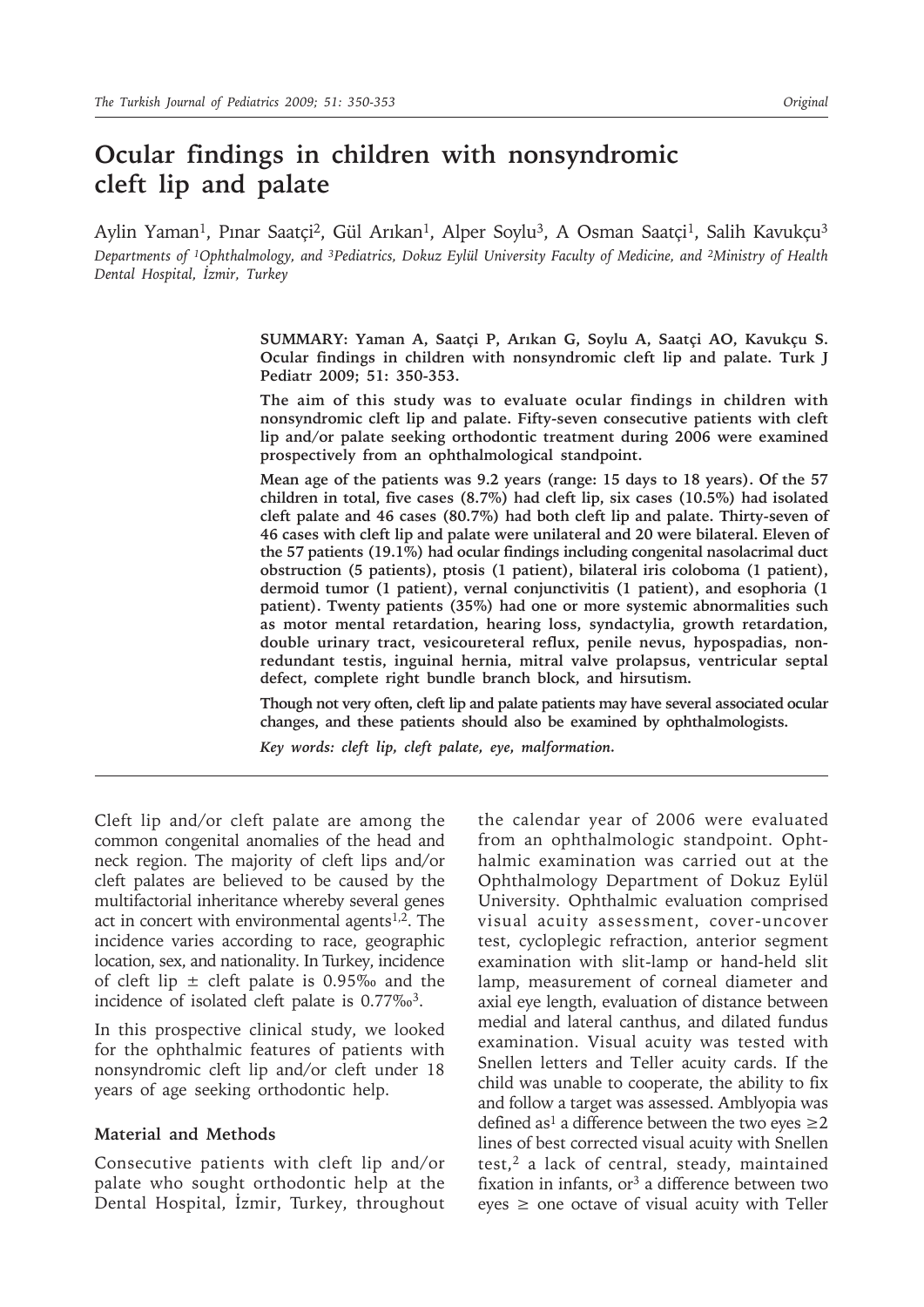# **Ocular findings in children with nonsyndromic cleft lip and palate**

Aylin Yaman<sup>1</sup>, Pınar Saatçi<sup>2</sup>, Gül Arıkan<sup>1</sup>, Alper Soylu<sup>3</sup>, A Osman Saatçi<sup>1</sup>, Salih Kavukçu<sup>3</sup> *Departments of 1Ophthalmology, and 3Pediatrics, Dokuz Eylül University Faculty of Medicine, and 2Ministry of Health Dental Hospital, İzmir, Turkey*

> **SUMMARY: Yaman A, Saatçi P, Arıkan G, Soylu A, Saatçi AO, Kavukçu S. Ocular findings in children with nonsyndromic cleft lip and palate. Turk J Pediatr 2009; 51: 350-353.**

> **The aim of this study was to evaluate ocular findings in children with nonsyndromic cleft lip and palate. Fifty-seven consecutive patients with cleft lip and/or palate seeking orthodontic treatment during 2006 were examined prospectively from an ophthalmological standpoint.**

> **Mean age of the patients was 9.2 years (range: 15 days to 18 years). Of the 57 children in total, five cases (8.7%) had cleft lip, six cases (10.5%) had isolated cleft palate and 46 cases (80.7%) had both cleft lip and palate. Thirty-seven of 46 cases with cleft lip and palate were unilateral and 20 were bilateral. Eleven of the 57 patients (19.1%) had ocular findings including congenital nasolacrimal duct obstruction (5 patients), ptosis (1 patient), bilateral iris coloboma (1 patient), dermoid tumor (1 patient), vernal conjunctivitis (1 patient), and esophoria (1 patient). Twenty patients (35%) had one or more systemic abnormalities such as motor mental retardation, hearing loss, syndactylia, growth retardation, double urinary tract, vesicoureteral reflux, penile nevus, hypospadias, nonredundant testis, inguinal hernia, mitral valve prolapsus, ventricular septal defect, complete right bundle branch block, and hirsutism.**

> **Though not very often, cleft lip and palate patients may have several associated ocular changes, and these patients should also be examined by ophthalmologists.**

*Key words: cleft lip, cleft palate, eye, malformation.*

Cleft lip and/or cleft palate are among the common congenital anomalies of the head and neck region. The majority of cleft lips and/or cleft palates are believed to be caused by the multifactorial inheritance whereby several genes act in concert with environmental agents $1,2$ . The incidence varies according to race, geographic location, sex, and nationality. In Turkey, incidence of cleft lip  $\pm$  cleft palate is 0.95‰ and the incidence of isolated cleft palate is 0.77‰<sup>3</sup>.

In this prospective clinical study, we looked for the ophthalmic features of patients with nonsyndromic cleft lip and/or cleft under 18 years of age seeking orthodontic help.

#### **Material and Methods**

Consecutive patients with cleft lip and/or palate who sought orthodontic help at the Dental Hospital, İzmir, Turkey, throughout the calendar year of 2006 were evaluated from an ophthalmologic standpoint. Ophthalmic examination was carried out at the Ophthalmology Department of Dokuz Eylül University. Ophthalmic evaluation comprised visual acuity assessment, cover-uncover test, cycloplegic refraction, anterior segment examination with slit-lamp or hand-held slit lamp, measurement of corneal diameter and axial eye length, evaluation of distance between medial and lateral canthus, and dilated fundus examination. Visual acuity was tested with Snellen letters and Teller acuity cards. If the child was unable to cooperate, the ability to fix and follow a target was assessed. Amblyopia was defined as<sup>1</sup> a difference between the two eyes  $\geq$ 2 lines of best corrected visual acuity with Snellen test,<sup>2</sup> a lack of central, steady, maintained fixation in infants,  $or<sup>3</sup>$  a difference between two eyes  $\geq$  one octave of visual acuity with Teller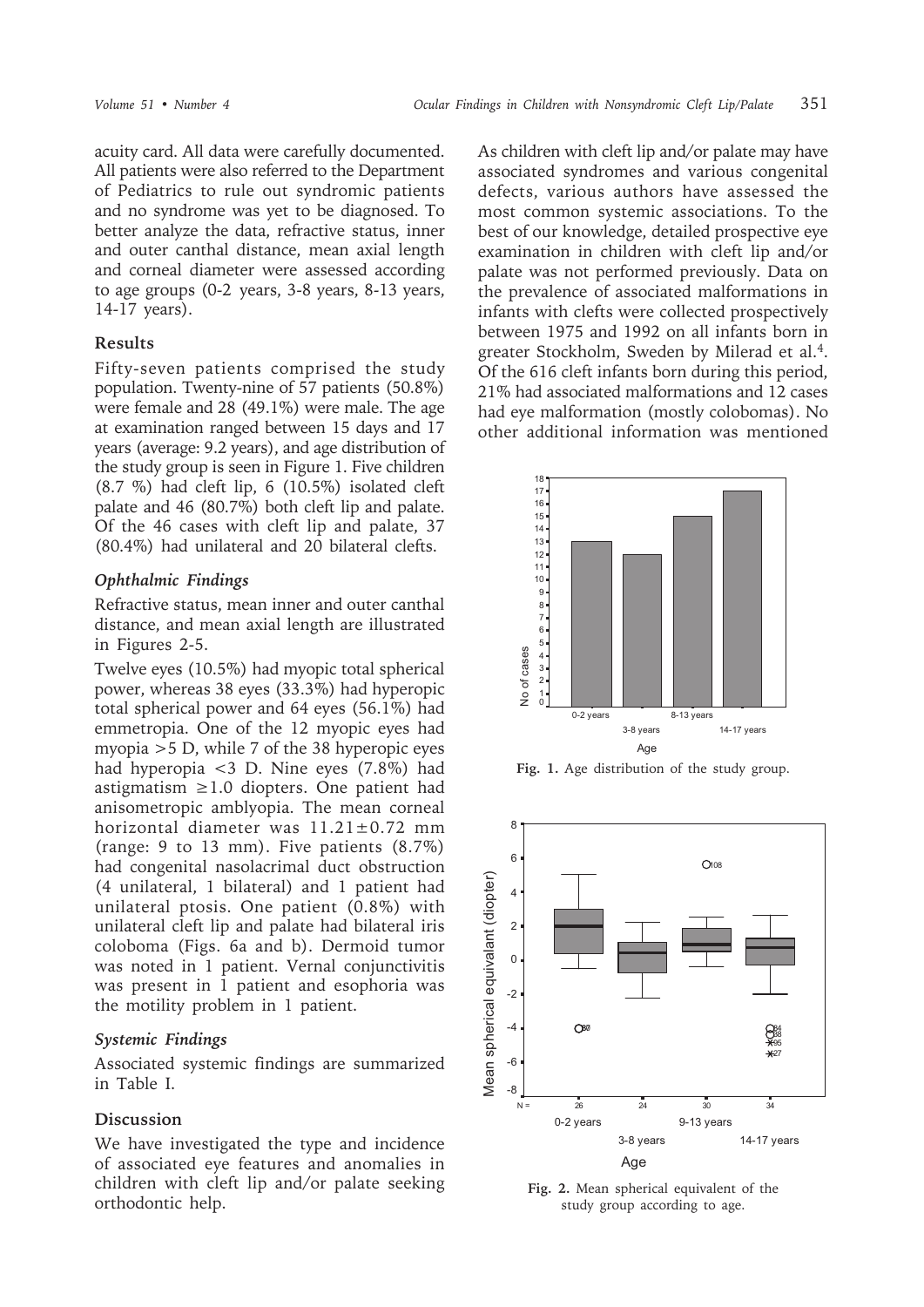acuity card. All data were carefully documented. All patients were also referred to the Department of Pediatrics to rule out syndromic patients and no syndrome was yet to be diagnosed. To better analyze the data, refractive status, inner and outer canthal distance, mean axial length and corneal diameter were assessed according to age groups (0-2 years, 3-8 years, 8-13 years, 14-17 years).

## **Results**

Fifty-seven patients comprised the study population. Twenty-nine of 57 patients (50.8%) were female and 28 (49.1%) were male. The age at examination ranged between 15 days and 17 years (average: 9.2 years), and age distribution of the study group is seen in Figure 1. Five children (8.7 %) had cleft lip, 6 (10.5%) isolated cleft palate and 46 (80.7%) both cleft lip and palate. Of the 46 cases with cleft lip and palate, 37 (80.4%) had unilateral and 20 bilateral clefts.

# *Ophthalmic Findings*

Refractive status, mean inner and outer canthal distance, and mean axial length are illustrated in Figures 2-5.

Twelve eyes (10.5%) had myopic total spherical power, whereas 38 eyes (33.3%) had hyperopic total spherical power and 64 eyes (56.1%) had emmetropia. One of the 12 myopic eyes had myopia >5 D, while 7 of the 38 hyperopic eyes had hyperopia <3 D. Nine eyes (7.8%) had astigmatism  $\geq 1.0$  diopters. One patient had anisometropic amblyopia. The mean corneal horizontal diameter was 11.21±0.72 mm (range: 9 to 13 mm). Five patients (8.7%) had congenital nasolacrimal duct obstruction (4 unilateral, 1 bilateral) and 1 patient had unilateral ptosis. One patient (0.8%) with unilateral cleft lip and palate had bilateral iris coloboma (Figs. 6a and b). Dermoid tumor was noted in 1 patient. Vernal conjunctivitis was present in 1 patient and esophoria was the motility problem in 1 patient.

## *Systemic Findings*

Associated systemic findings are summarized in Table I.

# **Discussion**

We have investigated the type and incidence of associated eye features and anomalies in children with cleft lip and/or palate seeking orthodontic help.

As children with cleft lip and/or palate may have associated syndromes and various congenital defects, various authors have assessed the most common systemic associations. To the best of our knowledge, detailed prospective eye examination in children with cleft lip and/or palate was not performed previously. Data on the prevalence of associated malformations in infants with clefts were collected prospectively between 1975 and 1992 on all infants born in greater Stockholm, Sweden by Milerad et al.<sup>4</sup>. Of the 616 cleft infants born during this period, 21% had associated malformations and 12 cases had eye malformation (mostly colobomas). No other additional information was mentioned



**Fig. 1.** Age distribution of the study group.



**Fig. 2.** Mean spherical equivalent of the study group according to age.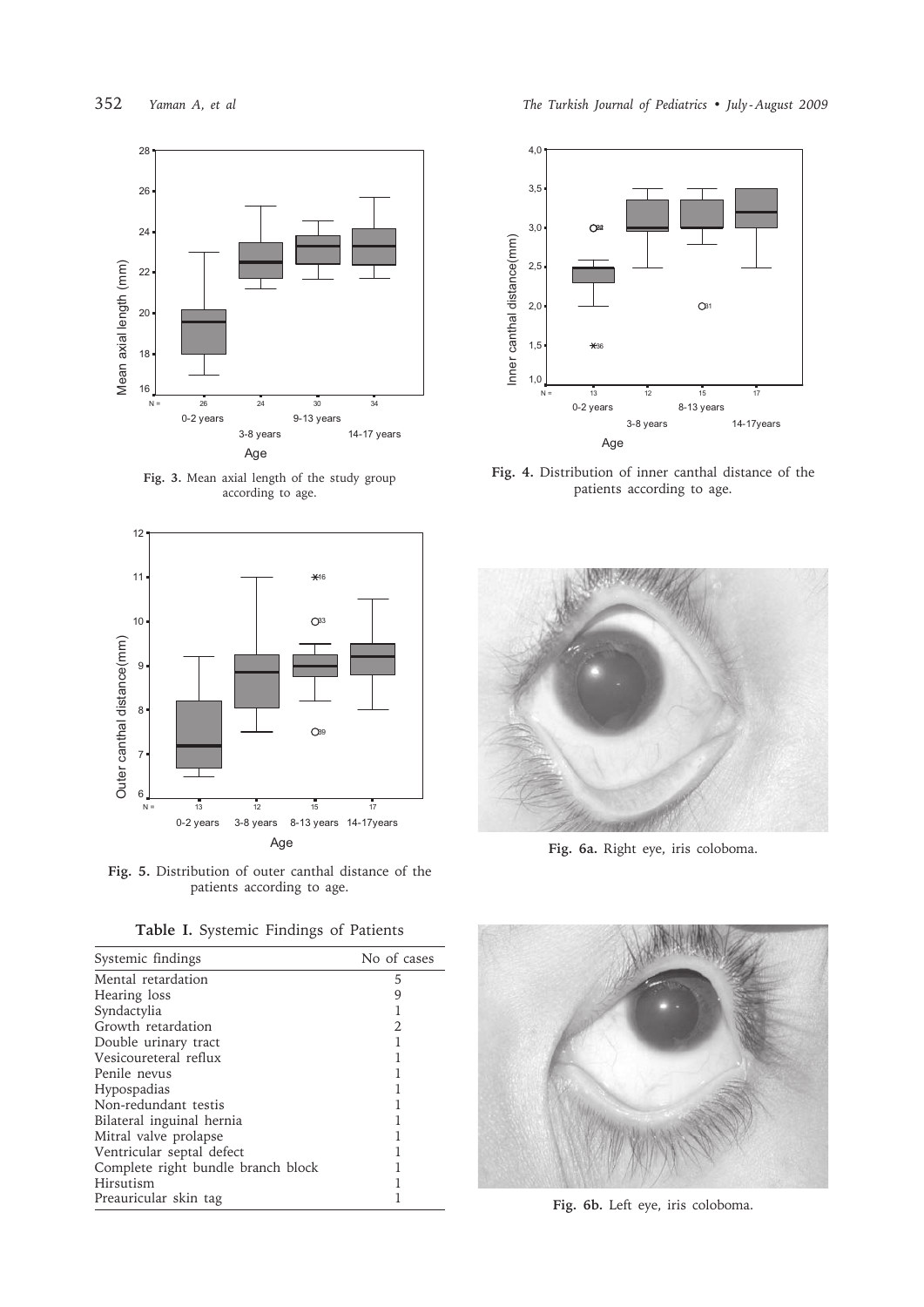

**Fig. 3.** Mean axial length of the study group according to age.



**Fig. 5.** Distribution of outer canthal distance of the patients according to age.

|  |  | Table I. Systemic Findings of Patients |  |  |  |
|--|--|----------------------------------------|--|--|--|
|--|--|----------------------------------------|--|--|--|

| Systemic findings                  | No of cases |
|------------------------------------|-------------|
| Mental retardation                 | 5           |
| Hearing loss                       | 9           |
| Syndactylia                        |             |
| Growth retardation                 | 2           |
| Double urinary tract               |             |
| Vesicoureteral reflux              |             |
| Penile nevus                       |             |
| Hypospadias                        |             |
| Non-redundant testis               |             |
| Bilateral inguinal hernia          |             |
| Mitral valve prolapse              |             |
| Ventricular septal defect          |             |
| Complete right bundle branch block |             |
| Hirsutism                          |             |
| Preauricular skin tag              |             |



**Fig. 4.** Distribution of inner canthal distance of the patients according to age.



**Fig. 6a.** Right eye, iris coloboma.



**Fig. 6b.** Left eye, iris coloboma.